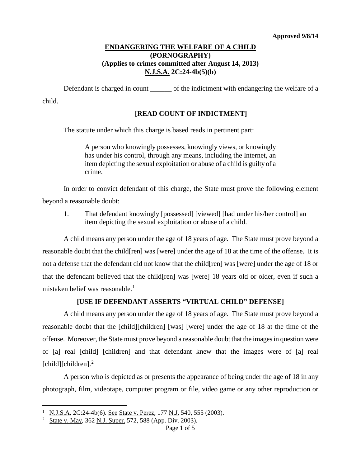### **ENDANGERING THE WELFARE OF A CHILD (PORNOGRAPHY) (Applies to crimes committed after August 14, 2013) N.J.S.A. 2C:24-4b(5)(b)**

Defendant is charged in count of the indictment with endangering the welfare of a child.

# **[READ COUNT OF INDICTMENT]**

The statute under which this charge is based reads in pertinent part:

A person who knowingly possesses, knowingly views, or knowingly has under his control, through any means, including the Internet, an item depicting the sexual exploitation or abuse of a child is guilty of a crime.

In order to convict defendant of this charge, the State must prove the following element beyond a reasonable doubt:

1. That defendant knowingly [possessed] [viewed] [had under his/her control] an item depicting the sexual exploitation or abuse of a child.

A child means any person under the age of 18 years of age. The State must prove beyond a reasonable doubt that the child[ren] was [were] under the age of 18 at the time of the offense. It is not a defense that the defendant did not know that the child[ren] was [were] under the age of 18 or that the defendant believed that the child[ren] was [were] 18 years old or older, even if such a mistaken belief was reasonable.<sup>[1](#page-0-0)</sup>

### **[USE IF DEFENDANT ASSERTS "VIRTUAL CHILD" DEFENSE]**

A child means any person under the age of 18 years of age. The State must prove beyond a reasonable doubt that the [child][children] [was] [were] under the age of 18 at the time of the offense. Moreover, the State must prove beyond a reasonable doubt that the images in question were of [a] real [child] [children] and that defendant knew that the images were of [a] real [child][children].<sup>[2](#page-0-1)</sup>

A person who is depicted as or presents the appearance of being under the age of 18 in any photograph, film, videotape, computer program or file, video game or any other reproduction or

<span id="page-0-0"></span><sup>&</sup>lt;sup>1</sup> N.J.S.A. 2C:24-4b(6). See State v. Perez, 177 N.J. 540, 555 (2003). Ĩ.

<span id="page-0-1"></span><sup>&</sup>lt;sup>2</sup> State v. May, 362 N.J. Super. 572, 588 (App. Div. 2003).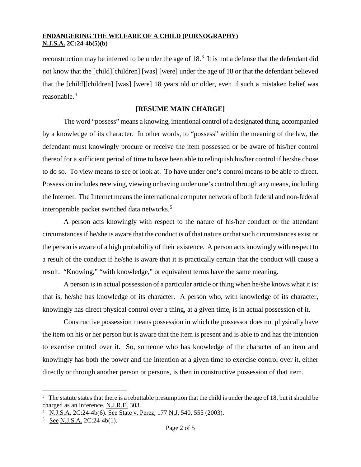reconstruction may be inferred to be under the age of 18.<sup>[3](#page-1-0)</sup> It is not a defense that the defendant did not know that the [child][children] [was] [were] under the age of 18 or that the defendant believed that the [child][children] [was] [were] 18 years old or older, even if such a mistaken belief was reasonable.[4](#page-1-1)

# **[RESUME MAIN CHARGE]**

The word "possess" means a knowing, intentional control of a designated thing, accompanied by a knowledge of its character. In other words, to "possess" within the meaning of the law, the defendant must knowingly procure or receive the item possessed or be aware of his/her control thereof for a sufficient period of time to have been able to relinquish his/her control if he/she chose to do so. To view means to see or look at. To have under one's control means to be able to direct. Possession includes receiving, viewing or having under one's control through any means, including the Internet. The Internet means the international computer network of both federal and non-federal interoperable packet switched data networks.[5](#page-1-2)

A person acts knowingly with respect to the nature of his/her conduct or the attendant circumstances if he/she is aware that the conduct is of that nature or that such circumstances exist or the person is aware of a high probability of their existence. A person acts knowingly with respect to a result of the conduct if he/she is aware that it is practically certain that the conduct will cause a result. "Knowing," "with knowledge," or equivalent terms have the same meaning.

A person is in actual possession of a particular article or thing when he/she knows what it is: that is, he/she has knowledge of its character. A person who, with knowledge of its character, knowingly has direct physical control over a thing, at a given time, is in actual possession of it.

Constructive possession means possession in which the possessor does not physically have the item on his or her person but is aware that the item is present and is able to and has the intention to exercise control over it. So, someone who has knowledge of the character of an item and knowingly has both the power and the intention at a given time to exercise control over it, either directly or through another person or persons, is then in constructive possession of that item.

<span id="page-1-0"></span> $3$  The statute states that there is a rebuttable presumption that the child is under the age of 18, but it should be charged as an inference. N.J.R.E. 303. Ĩ.

<span id="page-1-1"></span><sup>&</sup>lt;sup>4</sup> N.J.S.A. 2C:24-4b(6). See State v. Perez, 177 N.J. 540, 555 (2003).

<span id="page-1-2"></span> $5 \text{ See } N.J.S.A. 2C:24-4b(1).$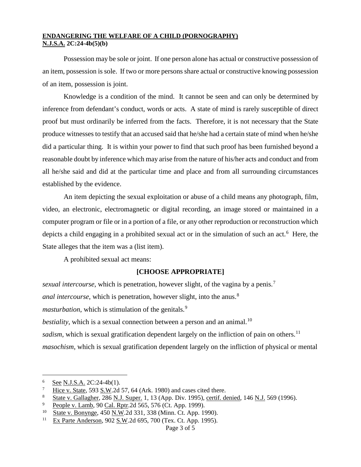Possession may be sole or joint. If one person alone has actual or constructive possession of an item, possession is sole. If two or more persons share actual or constructive knowing possession of an item, possession is joint.

Knowledge is a condition of the mind. It cannot be seen and can only be determined by inference from defendant's conduct, words or acts. A state of mind is rarely susceptible of direct proof but must ordinarily be inferred from the facts. Therefore, it is not necessary that the State produce witnesses to testify that an accused said that he/she had a certain state of mind when he/she did a particular thing. It is within your power to find that such proof has been furnished beyond a reasonable doubt by inference which may arise from the nature of his/her acts and conduct and from all he/she said and did at the particular time and place and from all surrounding circumstances established by the evidence.

An item depicting the sexual exploitation or abuse of a child means any photograph, film, video, an electronic, electromagnetic or digital recording, an image stored or maintained in a computer program or file or in a portion of a file, or any other reproduction or reconstruction which depicts a child engaging in a prohibited sexual act or in the simulation of such an act.<sup>[6](#page-2-0)</sup> Here, the State alleges that the item was a (list item).

A prohibited sexual act means:

### **[CHOOSE APPROPRIATE]**

*sexual intercourse*, which is penetration, however slight, of the vagina by a penis.<sup>[7](#page-2-1)</sup>

*anal intercourse*, which is penetration, however slight, into the anus.<sup>[8](#page-2-2)</sup>

*masturbation*, which is stimulation of the genitals.<sup>[9](#page-2-3)</sup>

*bestiality*, which is a sexual connection between a person and an animal.<sup>10</sup>

*sadism*, which is sexual gratification dependent largely on the infliction of pain on others.<sup>[11](#page-2-5)</sup>

*masochism*, which is sexual gratification dependent largely on the infliction of physical or mental

<span id="page-2-0"></span> $\frac{6}{7}$  See N.J.S.A. 2C:24-4b(1). Ĩ.

<span id="page-2-1"></span>Hice v. State, 593 S.W.2d 57, 64 (Ark. 1980) and cases cited there.

<span id="page-2-2"></span><sup>8</sup> State v. Gallagher, 286 N.J. Super. 1, 13 (App. Div. 1995), certif. denied, 146 N.J. 569 (1996).

<span id="page-2-3"></span><sup>9</sup> People v. Lamb, 90 Cal. Rptr.2d 565, 576 (Ct. App. 1999).

<span id="page-2-4"></span><sup>&</sup>lt;sup>10</sup> State v. Bonynge, 450 N.W. 2d 331, 338 (Minn. Ct. App. 1990).

<span id="page-2-5"></span><sup>11</sup> Ex Parte Anderson, 902 S.W.2d 695, 700 (Tex. Ct. App. 1995).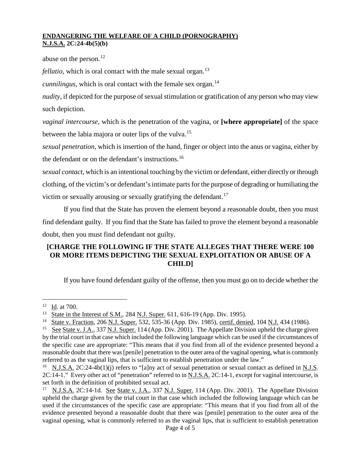abuse on the person. $12$ 

*fellatio*, which is oral contact with the male sexual organ.<sup>[13](#page-3-1)</sup>

*cunnilingus*, which is oral contact with the female sex organ.<sup>[14](#page-3-2)</sup>

*nudity*, if depicted for the purpose of sexual stimulation or gratification of any person who may view such depiction.

*vaginal intercourse*, which is the penetration of the vagina, or **[where appropriate]** of the space between the labia majora or outer lips of the vulva.<sup>[15](#page-3-3)</sup>

*sexual penetration*, which is insertion of the hand, finger or object into the anus or vagina, either by the defendant or on the defendant's instructions.<sup>[16](#page-3-4)</sup>

*sexual contact*, which is an intentional touching by the victim or defendant, either directly or through clothing, of the victim's or defendant's intimate parts for the purpose of degrading or humiliating the victim or sexually arousing or sexually gratifying the defendant.<sup>[17](#page-3-5)</sup>

If you find that the State has proven the element beyond a reasonable doubt, then you must find defendant guilty. If you find that the State has failed to prove the element beyond a reasonable doubt, then you must find defendant not guilty.

# **[CHARGE THE FOLLOWING IF THE STATE ALLEGES THAT THERE WERE 100 OR MORE ITEMS DEPICTING THE SEXUAL EXPLOITATION OR ABUSE OF A CHILD]**

If you have found defendant guilty of the offense, then you must go on to decide whether the

<span id="page-3-0"></span> $12 \underline{Id}$ . at 700. Ĩ.

<span id="page-3-1"></span><sup>&</sup>lt;sup>13</sup> State in the Interest of S.M., 284 N.J. Super. 611, 616-19 (App. Div. 1995).<br><sup>14</sup> State v. Fraction 206 N.J. Super. 532, 535-36 (App. Div. 1985), certif. deni.

<sup>14</sup> State v. Fraction, 206 N.J. Super. 532, 535-36 (App. Div. 1985), certif. denied, 104 N.J. 434 (1986).

<span id="page-3-3"></span><span id="page-3-2"></span><sup>&</sup>lt;sup>15</sup> See State v. J.A., 337 N.J. Super. 114 (App. Div. 2001). The Appellate Division upheld the charge given by the trial court in that case which included the following language which can be used if the circumstances of the specific case are appropriate: "This means that if you find from all of the evidence presented beyond a reasonable doubt that there was [penile] penetration to the outer area of the vaginal opening, what is commonly referred to as the vaginal lips, that is sufficient to establish penetration under the law."

<span id="page-3-4"></span><sup>&</sup>lt;sup>16</sup> N.J.S.A. 2C:24-4b(1)(j) refers to "[a]ny act of sexual penetration or sexual contact as defined in N.J.S. 2C:14-1." Every other act of "penetration" referred to in N.J.S.A. 2C:14-1, except for vaginal intercourse, is set forth in the definition of prohibited sexual act.

<span id="page-3-5"></span><sup>&</sup>lt;sup>17</sup> N.J.S.A. 2C:14-1d. See State v. J.A., 337 N.J. Super. 114 (App. Div. 2001). The Appellate Division upheld the charge given by the trial court in that case which included the following language which can be used if the circumstances of the specific case are appropriate: "This means that if you find from all of the evidence presented beyond a reasonable doubt that there was [penile] penetration to the outer area of the vaginal opening, what is commonly referred to as the vaginal lips, that is sufficient to establish penetration